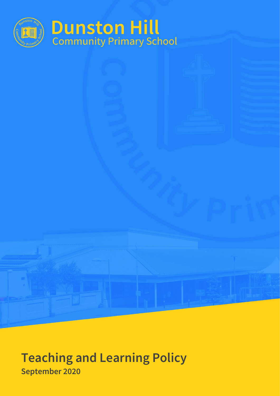

# **Teaching and Learning Policy September 2020**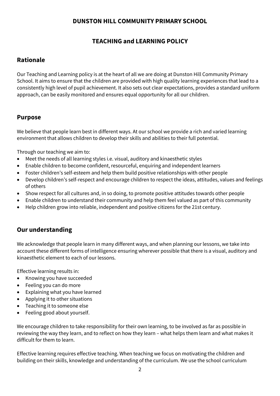### **DUNSTON HILL COMMUNITY PRIMARY SCHOOL**

# **TEACHING and LEARNING POLICY**

## **Rationale**

Our Teaching and Learning policy is at the heart of all we are doing at Dunston Hill Community Primary School. It aims to ensure that the children are provided with high quality learning experiences that lead to a consistently high level of pupil achievement. It also sets out clear expectations, provides a standard uniform approach, can be easily monitored and ensures equal opportunity for all our children.

#### **Purpose**

We believe that people learn best in different ways. At our school we provide a rich and varied learning environment that allows children to develop their skills and abilities to their full potential.

Through our teaching we aim to:

- Meet the needs of all learning styles i.e. visual, auditory and kinaesthetic styles
- Enable children to become confident, resourceful, enquiring and independent learners
- Foster children's self-esteem and help them build positive relationships with other people
- Develop children's self-respect and encourage children to respect the ideas, attitudes, values and feelings of others
- Show respect for all cultures and, in so doing, to promote positive attitudes towards other people
- Enable children to understand their community and help them feel valued as part of this community
- Help children grow into reliable, independent and positive citizens for the 21st century.

### **Our understanding**

We acknowledge that people learn in many different ways, and when planning our lessons, we take into account these different forms of intelligence ensuring wherever possible that there is a visual, auditory and kinaesthetic element to each of our lessons.

Effective learning results in:

- Knowing you have succeeded
- Feeling you can do more
- Explaining what you have learned
- Applying it to other situations
- Teaching it to someone else
- Feeling good about yourself.

We encourage children to take responsibility for their own learning, to be involved as far as possible in reviewing the way they learn, and to reflect on how they learn – what helps them learn and what makes it difficult for them to learn.

Effective learning requires effective teaching. When teaching we focus on motivating the children and building on their skills, knowledge and understanding of the curriculum. We use the school curriculum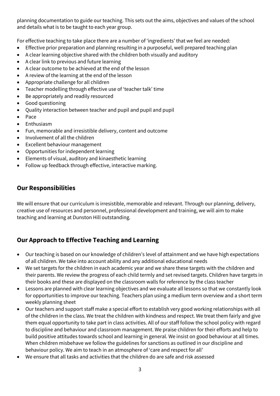planning documentation to guide our teaching. This sets out the aims, objectives and values of the school and details what is to be taught to each year group.

For effective teaching to take place there are a number of 'ingredients' that we feel are needed:

- Effective prior preparation and planning resulting in a purposeful, well prepared teaching plan
- A clear learning objective shared with the children both visually and auditory
- A clear link to previous and future learning
- A clear outcome to be achieved at the end of the lesson
- A review of the learning at the end of the lesson
- Appropriate challenge for all children
- Teacher modelling through effective use of 'teacher talk' time
- Be appropriately and readily resourced
- Good questioning
- Quality interaction between teacher and pupil and pupil and pupil
- Pace
- **Enthusiasm**
- Fun, memorable and irresistible delivery, content and outcome
- Involvement of all the children
- Excellent behaviour management
- Opportunities for independent learning
- Elements of visual, auditory and kinaesthetic learning
- Follow up feedback through effective, interactive marking.

# **Our Responsibilities**

We will ensure that our curriculum is irresistible, memorable and relevant. Through our planning, delivery, creative use of resources and personnel, professional development and training, we will aim to make teaching and learning at Dunston Hill outstanding.

# **Our Approach to Effective Teaching and Learning**

- Our teaching is based on our knowledge of children's level of attainment and we have high expectations of all children. We take into account ability and any additional educational needs
- We set targets for the children in each academic year and we share these targets with the children and their parents. We review the progress of each child termly and set revised targets. Children have targets in their books and these are displayed on the classroom walls for reference by the class teacher
- Lessons are planned with clear learning objectives and we evaluate all lessons so that we constantly look for opportunities to improve our teaching. Teachers plan using a medium term overview and a short term weekly planning sheet
- Our teachers and support staff make a special effort to establish very good working relationships with all of the children in the class. We treat the children with kindness and respect. We treat them fairly and give them equal opportunity to take part in class activities. All of our staff follow the school policy with regard to discipline and behaviour and classroom management. We praise children for their efforts and help to build positive attitudes towards school and learning in general. We insist on good behaviour at all times. When children misbehave we follow the guidelines for sanctions as outlined in our discipline and behaviour policy. We aim to teach in an atmosphere of 'care and respect for all'
- We ensure that all tasks and activities that the children do are safe and risk assessed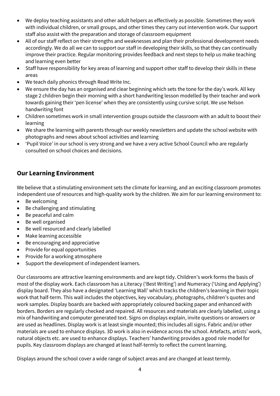- We deploy teaching assistants and other adult helpers as effectively as possible. Sometimes they work with individual children, or small groups, and other times they carry out intervention work. Our support staff also assist with the preparation and storage of classroom equipment
- All of our staff reflect on their strengths and weaknesses and plan their professional development needs accordingly. We do all we can to support our staff in developing their skills, so that they can continually improve their practice. Regular monitoring provides feedback and next steps to help us make teaching and learning even better
- Staff have responsibility for key areas of learning and support other staff to develop their skills in these areas
- We teach daily phonics through Read Write Inc.
- We ensure the day has an organised and clear beginning which sets the tone for the day's work. All key stage 2 children begin their morning with a short handwriting lesson modelled by their teacher and work towards gaining their 'pen license' when they are consistently using cursive script. We use Nelson handwriting font
- Children sometimes work in small intervention groups outside the classroom with an adult to boost their learning
- We share the learning with parents through our weekly newsletters and update the school website with photographs and news about school activities and learning
- 'Pupil Voice' in our school is very strong and we have a very active School Council who are regularly consulted on school choices and decisions.

# **Our Learning Environment**

We believe that a stimulating environment sets the climate for learning, and an exciting classroom promotes independent use of resources and high-quality work by the children. We aim for our learning environment to:

- Be welcoming
- Be challenging and stimulating
- Be peaceful and calm
- Be well organised
- Be well resourced and clearly labelled
- Make learning accessible
- Be encouraging and appreciative
- Provide for equal opportunities
- Provide for a working atmosphere
- Support the development of independent learners.

Our classrooms are attractive learning environments and are kept tidy. Children's work forms the basis of most of the display work. Each classroom has a Literacy ('Best Writing') and Numeracy ('Using and Applying') display board. They also have a designated 'Learning Wall' which tracks the children's learning in their topic work that half-term. This wall includes the objectives, key vocabulary, photographs, children's quotes and work samples. Display boards are backed with appropriately coloured backing paper and enhanced with borders. Borders are regularly checked and repaired. All resources and materials are clearly labelled, using a mix of handwriting and computer generated text. Signs on displays explain, invite questions or answers or are used as headlines. Display work is at least single mounted; this includes all signs. Fabric and/or other materials are used to enhance displays. 3D work is also in evidence across the school. Artefacts, artists' work, natural objects etc. are used to enhance displays. Teachers' handwriting provides a good role model for pupils. Key classroom displays are changed at least half-termly to reflect the current learning.

Displays around the school cover a wide range of subject areas and are changed at least termly.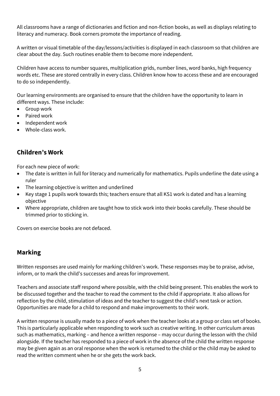All classrooms have a range of dictionaries and fiction and non-fiction books, as well as displays relating to literacy and numeracy. Book corners promote the importance of reading.

A written or visual timetable of the day/lessons/activities is displayed in each classroom so that children are clear about the day. Such routines enable them to become more independent.

Children have access to number squares, multiplication grids, number lines, word banks, high frequency words etc. These are stored centrally in every class. Children know how to access these and are encouraged to do so independently.

Our learning environments are organised to ensure that the children have the opportunity to learn in different ways. These include:

- Group work
- Paired work
- Independent work
- Whole-class work.

# **Children's Work**

For each new piece of work:

- The date is written in full for literacy and numerically for mathematics. Pupils underline the date using a ruler
- The learning objective is written and underlined
- Key stage 1 pupils work towards this; teachers ensure that all KS1 work is dated and has a learning objective
- Where appropriate, children are taught how to stick work into their books carefully. These should be trimmed prior to sticking in.

Covers on exercise books are not defaced.

# **Marking**

Written responses are used mainly for marking children's work. These responses may be to praise, advise, inform, or to mark the child's successes and areas for improvement.

Teachers and associate staff respond where possible, with the child being present. This enables the work to be discussed together and the teacher to read the comment to the child if appropriate. It also allows for reflection by the child, stimulation of ideas and the teacher to suggest the child's next task or action. Opportunities are made for a child to respond and make improvements to their work.

A written response is usually made to a piece of work when the teacher looks at a group or class set of books. This is particularly applicable when responding to work such as creative writing. In other curriculum areas such as mathematics, marking – and hence a written response – may occur during the lesson with the child alongside. If the teacher has responded to a piece of work in the absence of the child the written response may be given again as an oral response when the work is returned to the child or the child may be asked to read the written comment when he or she gets the work back.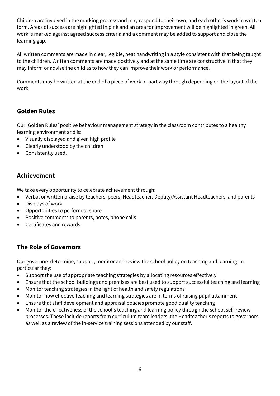Children are involved in the marking process and may respond to their own, and each other's work in written form. Areas of success are highlighted in pink and an area for improvement will be highlighted in green. All work is marked against agreed success criteria and a comment may be added to support and close the learning gap.

All written comments are made in clear, legible, neat handwriting in a style consistent with that being taught to the children. Written comments are made positively and at the same time are constructive in that they may inform or advise the child as to how they can improve their work or performance.

Comments may be written at the end of a piece of work or part way through depending on the layout of the work.

# **Golden Rules**

Our 'Golden Rules' positive behaviour management strategy in the classroom contributes to a healthy learning environment and is:

- Visually displayed and given high profile
- Clearly understood by the children
- Consistently used.

# **Achievement**

We take every opportunity to celebrate achievement through:

- Verbal or written praise by teachers, peers, Headteacher, Deputy/Assistant Headteachers, and parents
- Displays of work
- Opportunities to perform or share
- Positive comments to parents, notes, phone calls
- Certificates and rewards.

# **The Role of Governors**

Our governors determine, support, monitor and review the school policy on teaching and learning. In particular they:

- Support the use of appropriate teaching strategies by allocating resources effectively
- Ensure that the school buildings and premises are best used to support successful teaching and learning
- Monitor teaching strategies in the light of health and safety regulations
- Monitor how effective teaching and learning strategies are in terms of raising pupil attainment
- Ensure that staff development and appraisal policies promote good quality teaching
- Monitor the effectiveness of the school's teaching and learning policy through the school self-review processes. These include reports from curriculum team leaders, the Headteacher's reports to governors as well as a review of the in-service training sessions attended by our staff.